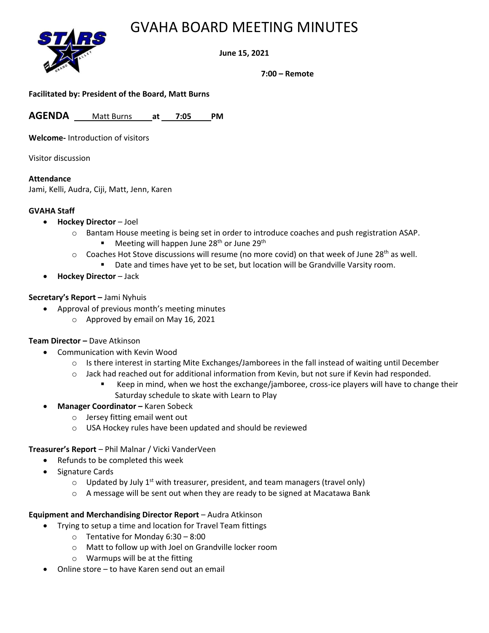## GVAHA BOARD MEETING MINUTES



**June 15, 2021**

**7:00 – Remote**

**Facilitated by: President of the Board, Matt Burns**

**AGENDA** Matt Burns **at 7:05 PM**

**Welcome-** Introduction of visitors

Visitor discussion

### **Attendance**

Jami, Kelli, Audra, Ciji, Matt, Jenn, Karen

### **GVAHA Staff**

- **Hockey Director** Joel
	- o Bantam House meeting is being set in order to introduce coaches and push registration ASAP.
		- **■** Meeting will happen June  $28<sup>th</sup>$  or June  $29<sup>th</sup>$
	- $\circ$  Coaches Hot Stove discussions will resume (no more covid) on that week of June 28<sup>th</sup> as well.
		- Date and times have yet to be set, but location will be Grandville Varsity room.
- **Hockey Director** Jack

#### **Secretary's Report –** Jami Nyhuis

- Approval of previous month's meeting minutes
	- o Approved by email on May 16, 2021

### **Team Director –** Dave Atkinson

- Communication with Kevin Wood
	- $\circ$  Is there interest in starting Mite Exchanges/Jamborees in the fall instead of waiting until December
	- o Jack had reached out for additional information from Kevin, but not sure if Kevin had responded.
		- Keep in mind, when we host the exchange/jamboree, cross-ice players will have to change their Saturday schedule to skate with Learn to Play
- **Manager Coordinator –** Karen Sobeck
	- o Jersey fitting email went out
	- o USA Hockey rules have been updated and should be reviewed

### **Treasurer's Report** – Phil Malnar / Vicki VanderVeen

- Refunds to be completed this week
- Signature Cards
	- $\circ$  Updated by July 1<sup>st</sup> with treasurer, president, and team managers (travel only)
	- $\circ$  A message will be sent out when they are ready to be signed at Macatawa Bank

### **Equipment and Merchandising Director Report** – Audra Atkinson

- Trying to setup a time and location for Travel Team fittings
	- o Tentative for Monday 6:30 8:00
	- o Matt to follow up with Joel on Grandville locker room
	- o Warmups will be at the fitting
- Online store to have Karen send out an email